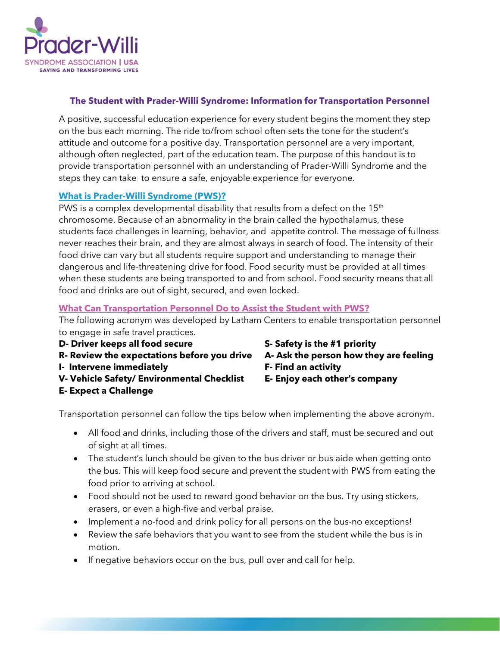

## **The Student with Prader-Willi Syndrome: Information for Transportation Personnel**

A positive, successful education experience for every student begins the moment they step on the bus each morning. The ride to/from school often sets the tone for the student's attitude and outcome for a positive day. Transportation personnel are a very important, although often neglected, part of the education team. The purpose of this handout is to provide transportation personnel with an understanding of Prader-Willi Syndrome and the steps they can take to ensure a safe, enjoyable experience for everyone.

## **What is Prader-Willi Syndrome (PWS)?**

PWS is a complex developmental disability that results from a defect on the  $15<sup>th</sup>$ chromosome. Because of an abnormality in the brain called the hypothalamus, these students face challenges in learning, behavior, and appetite control. The message of fullness never reaches their brain, and they are almost always in search of food. The intensity of their food drive can vary but all students require support and understanding to manage their dangerous and life-threatening drive for food. Food security must be provided at all times when these students are being transported to and from school. Food security means that all food and drinks are out of sight, secured, and even locked.

## **What Can Transportation Personnel Do to Assist the Student with PWS?**

The following acronym was developed by Latham Centers to enable transportation personnel to engage in safe travel practices.

- **D- Driver keeps all food secure S- Safety is the #1 priority**
- **R- Review the expectations before you drive A- Ask the person how they are feeling**
- **I- Intervene immediately F- Find an activity**
- **V- Vehicle Safety/ Environmental Checklist E- Enjoy each other's company**
- **E- Expect a Challenge**
- 
- 
- 
- 

Transportation personnel can follow the tips below when implementing the above acronym.

- All food and drinks, including those of the drivers and staff, must be secured and out of sight at all times.
- The student's lunch should be given to the bus driver or bus aide when getting onto the bus. This will keep food secure and prevent the student with PWS from eating the food prior to arriving at school.
- Food should not be used to reward good behavior on the bus. Try using stickers, erasers, or even a high-five and verbal praise.
- Implement a no-food and drink policy for all persons on the bus-no exceptions!
- Review the safe behaviors that you want to see from the student while the bus is in motion.
- If negative behaviors occur on the bus, pull over and call for help.